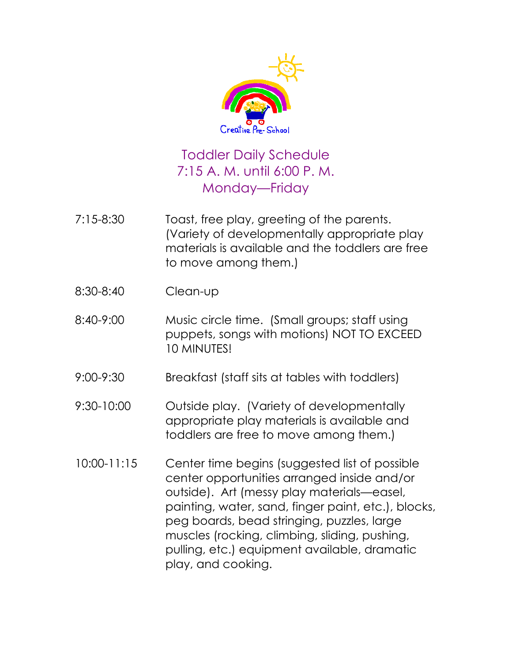

## Toddler Daily Schedule 7:15 A. M. until 6:00 P. M. Monday—Friday

- 7:15-8:30 Toast, free play, greeting of the parents. (Variety of developmentally appropriate play materials is available and the toddlers are free to move among them.)
- 8:30-8:40 Clean-up
- 8:40-9:00 Music circle time. (Small groups; staff using puppets, songs with motions) NOT TO EXCEED 10 MINUTES!
- 9:00-9:30 Breakfast (staff sits at tables with toddlers)
- 9:30-10:00 Outside play. (Variety of developmentally appropriate play materials is available and toddlers are free to move among them.)
- 10:00-11:15 Center time begins (suggested list of possible center opportunities arranged inside and/or outside). Art (messy play materials—easel, painting, water, sand, finger paint, etc.), blocks, peg boards, bead stringing, puzzles, large muscles (rocking, climbing, sliding, pushing, pulling, etc.) equipment available, dramatic play, and cooking.